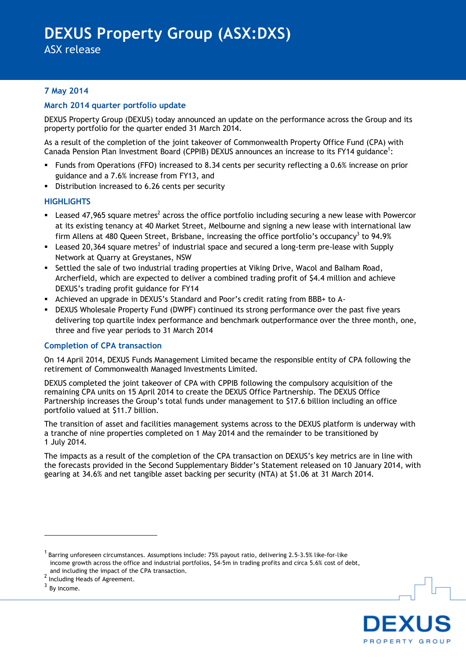ASX release

# **7 May 2014**

## **March 2014 quarter portfolio update**

DEXUS Property Group (DEXUS) today announced an update on the performance across the Group and its property portfolio for the quarter ended 31 March 2014.

As a result of the completion of the joint takeover of Commonwealth Property Office Fund (CPA) with Canada Pension Plan Investment Board (CPPIB) DEXUS announces an increase to its FY14 guidance<sup>1</sup>:

- Funds from Operations (FFO) increased to 8.34 cents per security reflecting a 0.6% increase on prior guidance and a 7.6% increase from FY13, and
- Distribution increased to 6.26 cents per security

## **HIGHLIGHTS**

- E Leased 47,965 square metres<sup>2</sup> across the office portfolio including securing a new lease with Powercor at its existing tenancy at 40 Market Street, Melbourne and signing a new lease with international law firm Allens at 480 Queen Street, Brisbane, increasing the office portfolio's occupancy<sup>3</sup> to 94.9%
- **Examber 1200**, 164 square metres<sup>2</sup> of industrial space and secured a long-term pre-lease with Supply Network at Quarry at Greystanes, NSW
- Settled the sale of two industrial trading properties at Viking Drive, Wacol and Balham Road, Archerfield, which are expected to deliver a combined trading profit of \$4.4 million and achieve DEXUS's trading profit guidance for FY14
- Achieved an upgrade in DEXUS's Standard and Poor's credit rating from BBB+ to A-
- DEXUS Wholesale Property Fund (DWPF) continued its strong performance over the past five years delivering top quartile index performance and benchmark outperformance over the three month, one, three and five year periods to 31 March 2014

## **Completion of CPA transaction**

On 14 April 2014, DEXUS Funds Management Limited became the responsible entity of CPA following the retirement of Commonwealth Managed Investments Limited.

DEXUS completed the joint takeover of CPA with CPPIB following the compulsory acquisition of the remaining CPA units on 15 April 2014 to create the DEXUS Office Partnership. The DEXUS Office Partnership increases the Group's total funds under management to \$17.6 billion including an office portfolio valued at \$11.7 billion.

The transition of asset and facilities management systems across to the DEXUS platform is underway with a tranche of nine properties completed on 1 May 2014 and the remainder to be transitioned by 1 July 2014.

The impacts as a result of the completion of the CPA transaction on DEXUS's key metrics are in line with the forecasts provided in the Second Supplementary Bidder's Statement released on 10 January 2014, with gearing at 34.6% and net tangible asset backing per security (NTA) at \$1.06 at 31 March 2014.

1



<sup>&</sup>lt;sup>1</sup> Barring unforeseen circumstances. Assumptions include: 75% payout ratio, delivering 2.5-3.5% like-for-like income growth across the office and industrial portfolios, \$4-5m in trading profits and circa 5.6% cost of debt, and including the impact of the CPA transaction.

<sup>&</sup>lt;sup>2</sup> Including Heads of Agreement.

 $3$  By income.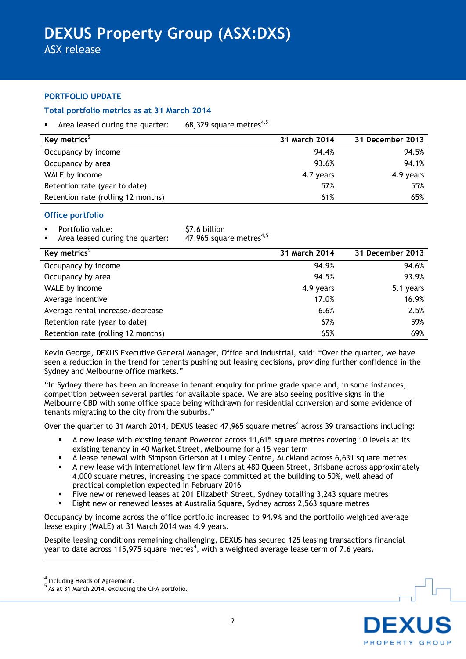ASX release

## **PORTFOLIO UPDATE**

## **Total portfolio metrics as at 31 March 2014**

Area leased during the quarter:  $68.329$  square metres<sup>4,5</sup>

| Key metrics <sup>3</sup>           | 31 March 2014 | 31 December 2013 |
|------------------------------------|---------------|------------------|
| Occupancy by income                | 94.4%         | 94.5%            |
| Occupancy by area                  | 93.6%         | 94.1%            |
| WALE by income                     | 4.7 years     | 4.9 years        |
| Retention rate (year to date)      | 57%           | 55%              |
| Retention rate (rolling 12 months) | 61%           | 65%              |

## **Office portfolio**

- Portfolio value:  $$7.6$  billion<br>Area leased during the quarter:  $47,965$  square metres<sup>4,5</sup>
- Area leased during the quarter:

| Key metrics <sup>5</sup>           | 31 March 2014 | 31 December 2013 |
|------------------------------------|---------------|------------------|
| Occupancy by income                | 94.9%         | 94.6%            |
| Occupancy by area                  | 94.5%         | 93.9%            |
| WALE by income                     | 4.9 years     | 5.1 years        |
| Average incentive                  | 17.0%         | 16.9%            |
| Average rental increase/decrease   | 6.6%          | 2.5%             |
| Retention rate (year to date)      | 67%           | 59%              |
| Retention rate (rolling 12 months) | 65%           | 69%              |

Kevin George, DEXUS Executive General Manager, Office and Industrial, said: "Over the quarter, we have seen a reduction in the trend for tenants pushing out leasing decisions, providing further confidence in the Sydney and Melbourne office markets."

"In Sydney there has been an increase in tenant enquiry for prime grade space and, in some instances, competition between several parties for available space. We are also seeing positive signs in the Melbourne CBD with some office space being withdrawn for residential conversion and some evidence of tenants migrating to the city from the suburbs."

Over the quarter to 31 March 2014, DEXUS leased 47,965 square metres<sup>4</sup> across 39 transactions including:

- A new lease with existing tenant Powercor across 11,615 square metres covering 10 levels at its existing tenancy in 40 Market Street, Melbourne for a 15 year term
- A lease renewal with Simpson Grierson at Lumley Centre, Auckland across 6,631 square metres
- A new lease with international law firm Allens at 480 Queen Street, Brisbane across approximately 4,000 square metres, increasing the space committed at the building to 50%, well ahead of practical completion expected in February 2016
- Five new or renewed leases at 201 Elizabeth Street, Sydney totalling 3,243 square metres
- Eight new or renewed leases at Australia Square, Sydney across 2,563 square metres

Occupancy by income across the office portfolio increased to 94.9% and the portfolio weighted average lease expiry (WALE) at 31 March 2014 was 4.9 years.

Despite leasing conditions remaining challenging, DEXUS has secured 125 leasing transactions financial year to date across 115,975 square metres<sup>4</sup>, with a weighted average lease term of 7.6 years.

<u>.</u>



<sup>&</sup>lt;sup>4</sup> Including Heads of Agreement.<br><sup>5</sup> As at 31 March 2014, excluding the CPA portfolio.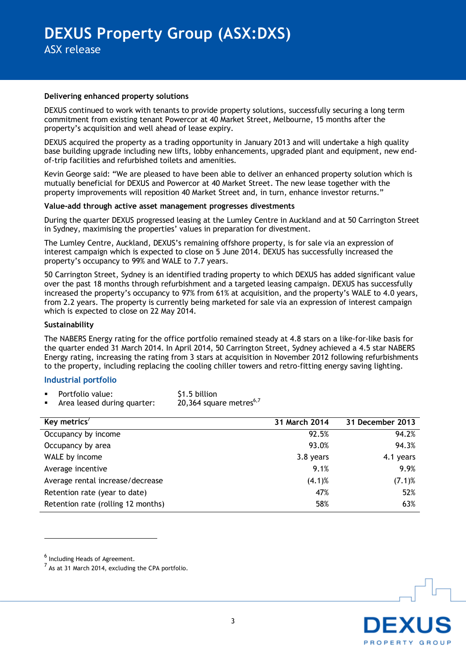#### **Delivering enhanced property solutions**

DEXUS continued to work with tenants to provide property solutions, successfully securing a long term commitment from existing tenant Powercor at 40 Market Street, Melbourne, 15 months after the property's acquisition and well ahead of lease expiry.

DEXUS acquired the property as a trading opportunity in January 2013 and will undertake a high quality base building upgrade including new lifts, lobby enhancements, upgraded plant and equipment, new endof-trip facilities and refurbished toilets and amenities.

Kevin George said: "We are pleased to have been able to deliver an enhanced property solution which is mutually beneficial for DEXUS and Powercor at 40 Market Street. The new lease together with the property improvements will reposition 40 Market Street and, in turn, enhance investor returns."

#### **Value-add through active asset management progresses divestments**

During the quarter DEXUS progressed leasing at the Lumley Centre in Auckland and at 50 Carrington Street in Sydney, maximising the properties' values in preparation for divestment.

The Lumley Centre, Auckland, DEXUS's remaining offshore property, is for sale via an expression of interest campaign which is expected to close on 5 June 2014. DEXUS has successfully increased the property's occupancy to 99% and WALE to 7.7 years.

50 Carrington Street, Sydney is an identified trading property to which DEXUS has added significant value over the past 18 months through refurbishment and a targeted leasing campaign. DEXUS has successfully increased the property's occupancy to 97% from 61% at acquisition, and the property's WALE to 4.0 years, from 2.2 years. The property is currently being marketed for sale via an expression of interest campaign which is expected to close on 22 May 2014.

#### **Sustainability**

The NABERS Energy rating for the office portfolio remained steady at 4.8 stars on a like-for-like basis for the quarter ended 31 March 2014. In April 2014, 50 Carrington Street, Sydney achieved a 4.5 star NABERS Energy rating, increasing the rating from 3 stars at acquisition in November 2012 following refurbishments to the property, including replacing the cooling chiller towers and retro-fitting energy saving lighting.

### **Industrial portfolio**

|  | Portfolio value: | \$1.5 billion |
|--|------------------|---------------|
|--|------------------|---------------|

Area leased during quarter:  $20,364$  square metres<sup>6,7</sup>

| Key metrics <sup>7</sup>           | 31 March 2014 | 31 December 2013 |
|------------------------------------|---------------|------------------|
| Occupancy by income                | 92.5%         | 94.2%            |
| Occupancy by area                  | 93.0%         | 94.3%            |
| WALE by income                     | 3.8 years     | 4.1 years        |
| Average incentive                  | 9.1%          | 9.9%             |
| Average rental increase/decrease   | $(4.1)$ %     | $(7.1)$ %        |
| Retention rate (year to date)      | 47%           | 52%              |
| Retention rate (rolling 12 months) | 58%           | 63%              |

1



<sup>&</sup>lt;sup>6</sup> Including Heads of Agreement.

 $^7$  As at 31 March 2014, excluding the CPA portfolio.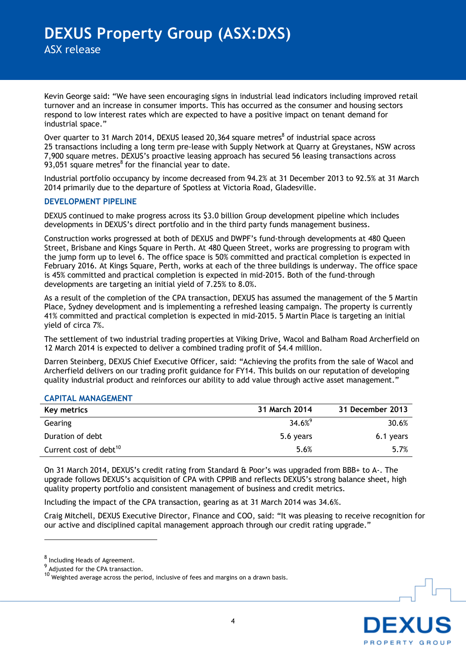Kevin George said: "We have seen encouraging signs in industrial lead indicators including improved retail turnover and an increase in consumer imports. This has occurred as the consumer and housing sectors respond to low interest rates which are expected to have a positive impact on tenant demand for industrial space."

Over quarter to 31 March 2014, DEXUS leased 20,364 square metres $^8$  of industrial space across 25 transactions including a long term pre-lease with Supply Network at Quarry at Greystanes, NSW across 7,900 square metres. DEXUS's proactive leasing approach has secured 56 leasing transactions across 93,051 square metres $<sup>8</sup>$  for the financial year to date.</sup>

Industrial portfolio occupancy by income decreased from 94.2% at 31 December 2013 to 92.5% at 31 March 2014 primarily due to the departure of Spotless at Victoria Road, Gladesville.

### **DEVELOPMENT PIPELINE**

DEXUS continued to make progress across its \$3.0 billion Group development pipeline which includes developments in DEXUS's direct portfolio and in the third party funds management business.

Construction works progressed at both of DEXUS and DWPF's fund-through developments at 480 Queen Street, Brisbane and Kings Square in Perth. At 480 Queen Street, works are progressing to program with the jump form up to level 6. The office space is 50% committed and practical completion is expected in February 2016. At Kings Square, Perth, works at each of the three buildings is underway. The office space is 45% committed and practical completion is expected in mid-2015. Both of the fund-through developments are targeting an initial yield of 7.25% to 8.0%.

As a result of the completion of the CPA transaction, DEXUS has assumed the management of the 5 Martin Place, Sydney development and is implementing a refreshed leasing campaign. The property is currently 41% committed and practical completion is expected in mid-2015. 5 Martin Place is targeting an initial yield of circa 7%.

The settlement of two industrial trading properties at Viking Drive, Wacol and Balham Road Archerfield on 12 March 2014 is expected to deliver a combined trading profit of \$4.4 million.

Darren Steinberg, DEXUS Chief Executive Officer, said: "Achieving the profits from the sale of Wacol and Archerfield delivers on our trading profit guidance for FY14. This builds on our reputation of developing quality industrial product and reinforces our ability to add value through active asset management."

### **CAPITAL MANAGEMENT**

| Key metrics                        | 31 March 2014 | 31 December 2013 |
|------------------------------------|---------------|------------------|
| Gearing                            | $34.6%^{9}$   | 30.6%            |
| Duration of debt                   | 5.6 years     | 6.1 years        |
| Current cost of debt <sup>10</sup> | 5.6%          | 5.7%             |

On 31 March 2014, DEXUS's credit rating from Standard & Poor's was upgraded from BBB+ to A-. The upgrade follows DEXUS's acquisition of CPA with CPPIB and reflects DEXUS's strong balance sheet, high quality property portfolio and consistent management of business and credit metrics.

Including the impact of the CPA transaction, gearing as at 31 March 2014 was 34.6%.

Craig Mitchell, DEXUS Executive Director, Finance and COO, said: "It was pleasing to receive recognition for our active and disciplined capital management approach through our credit rating upgrade."

1



<sup>8</sup> Including Heads of Agreement.

 $^{9}$  Adjusted for the CPA transaction.

<sup>10</sup> Weighted average across the period, inclusive of fees and margins on a drawn basis.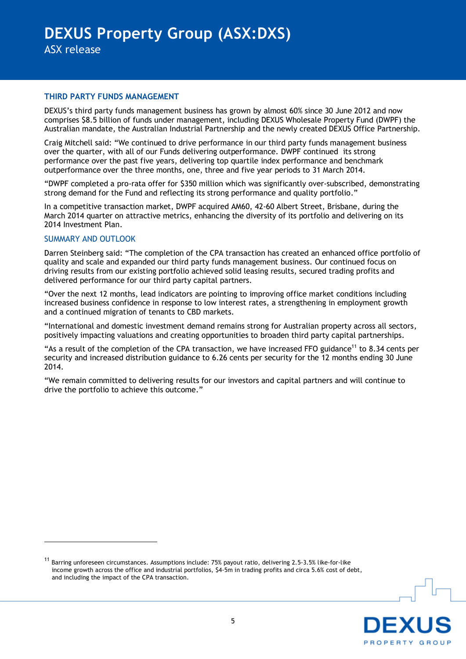### **THIRD PARTY FUNDS MANAGEMENT**

DEXUS's third party funds management business has grown by almost 60% since 30 June 2012 and now comprises \$8.5 billion of funds under management, including DEXUS Wholesale Property Fund (DWPF) the Australian mandate, the Australian Industrial Partnership and the newly created DEXUS Office Partnership.

Craig Mitchell said: "We continued to drive performance in our third party funds management business over the quarter, with all of our Funds delivering outperformance. DWPF continued its strong performance over the past five years, delivering top quartile index performance and benchmark outperformance over the three months, one, three and five year periods to 31 March 2014.

"DWPF completed a pro-rata offer for \$350 million which was significantly over-subscribed, demonstrating strong demand for the Fund and reflecting its strong performance and quality portfolio."

In a competitive transaction market, DWPF acquired AM60, 42-60 Albert Street, Brisbane, during the March 2014 quarter on attractive metrics, enhancing the diversity of its portfolio and delivering on its 2014 Investment Plan.

### SUMMARY AND OUTLOOK

<u>.</u>

Darren Steinberg said: "The completion of the CPA transaction has created an enhanced office portfolio of quality and scale and expanded our third party funds management business. Our continued focus on driving results from our existing portfolio achieved solid leasing results, secured trading profits and delivered performance for our third party capital partners.

"Over the next 12 months, lead indicators are pointing to improving office market conditions including increased business confidence in response to low interest rates, a strengthening in employment growth and a continued migration of tenants to CBD markets.

"International and domestic investment demand remains strong for Australian property across all sectors, positively impacting valuations and creating opportunities to broaden third party capital partnerships.

"As a result of the completion of the CPA transaction, we have increased FFO guidance<sup>11</sup> to 8.34 cents per security and increased distribution guidance to 6.26 cents per security for the 12 months ending 30 June 2014.

"We remain committed to delivering results for our investors and capital partners and will continue to drive the portfolio to achieve this outcome."

<sup>11</sup> Barring unforeseen circumstances. Assumptions include: 75% payout ratio, delivering 2.5-3.5% like-for-like income growth across the office and industrial portfolios, \$4-5m in trading profits and circa 5.6% cost of debt, and including the impact of the CPA transaction.